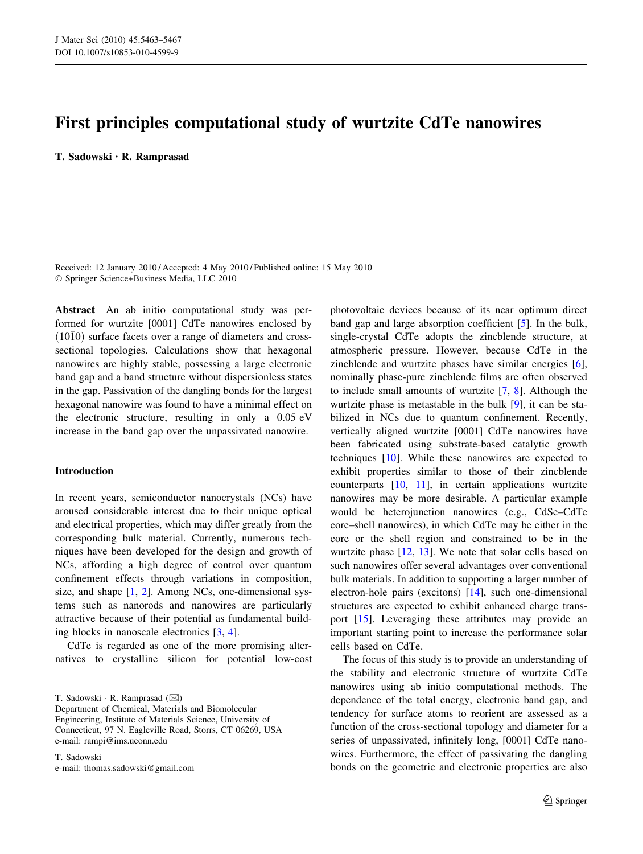# First principles computational study of wurtzite CdTe nanowires

T. Sadowski • R. Ramprasad

Received: 12 January 2010 / Accepted: 4 May 2010 / Published online: 15 May 2010 - Springer Science+Business Media, LLC 2010

Abstract An ab initio computational study was performed for wurtzite [0001] CdTe nanowires enclosed by  $(10\bar{1}0)$  surface facets over a range of diameters and crosssectional topologies. Calculations show that hexagonal nanowires are highly stable, possessing a large electronic band gap and a band structure without dispersionless states in the gap. Passivation of the dangling bonds for the largest hexagonal nanowire was found to have a minimal effect on the electronic structure, resulting in only a 0.05 eV increase in the band gap over the unpassivated nanowire.

## Introduction

In recent years, semiconductor nanocrystals (NCs) have aroused considerable interest due to their unique optical and electrical properties, which may differ greatly from the corresponding bulk material. Currently, numerous techniques have been developed for the design and growth of NCs, affording a high degree of control over quantum confinement effects through variations in composition, size, and shape [\[1](#page-4-0), [2](#page-4-0)]. Among NCs, one-dimensional systems such as nanorods and nanowires are particularly attractive because of their potential as fundamental building blocks in nanoscale electronics [[3,](#page-4-0) [4](#page-4-0)].

CdTe is regarded as one of the more promising alternatives to crystalline silicon for potential low-cost

T. Sadowski  $\cdot$  R. Ramprasad ( $\boxtimes$ )

Department of Chemical, Materials and Biomolecular Engineering, Institute of Materials Science, University of Connecticut, 97 N. Eagleville Road, Storrs, CT 06269, USA e-mail: rampi@ims.uconn.edu

T. Sadowski e-mail: thomas.sadowski@gmail.com

photovoltaic devices because of its near optimum direct band gap and large absorption coefficient [[5\]](#page-4-0). In the bulk, single-crystal CdTe adopts the zincblende structure, at atmospheric pressure. However, because CdTe in the zincblende and wurtzite phases have similar energies [\[6](#page-4-0)], nominally phase-pure zincblende films are often observed to include small amounts of wurtzite [\[7](#page-4-0), [8](#page-4-0)]. Although the wurtzite phase is metastable in the bulk [\[9](#page-4-0)], it can be stabilized in NCs due to quantum confinement. Recently, vertically aligned wurtzite [0001] CdTe nanowires have been fabricated using substrate-based catalytic growth techniques [\[10](#page-4-0)]. While these nanowires are expected to exhibit properties similar to those of their zincblende counterparts [[10,](#page-4-0) [11\]](#page-4-0), in certain applications wurtzite nanowires may be more desirable. A particular example would be heterojunction nanowires (e.g., CdSe–CdTe core–shell nanowires), in which CdTe may be either in the core or the shell region and constrained to be in the wurtzite phase [[12,](#page-4-0) [13\]](#page-4-0). We note that solar cells based on such nanowires offer several advantages over conventional bulk materials. In addition to supporting a larger number of electron-hole pairs (excitons) [[14\]](#page-4-0), such one-dimensional structures are expected to exhibit enhanced charge transport [[15\]](#page-4-0). Leveraging these attributes may provide an important starting point to increase the performance solar cells based on CdTe.

The focus of this study is to provide an understanding of the stability and electronic structure of wurtzite CdTe nanowires using ab initio computational methods. The dependence of the total energy, electronic band gap, and tendency for surface atoms to reorient are assessed as a function of the cross-sectional topology and diameter for a series of unpassivated, infinitely long, [0001] CdTe nanowires. Furthermore, the effect of passivating the dangling bonds on the geometric and electronic properties are also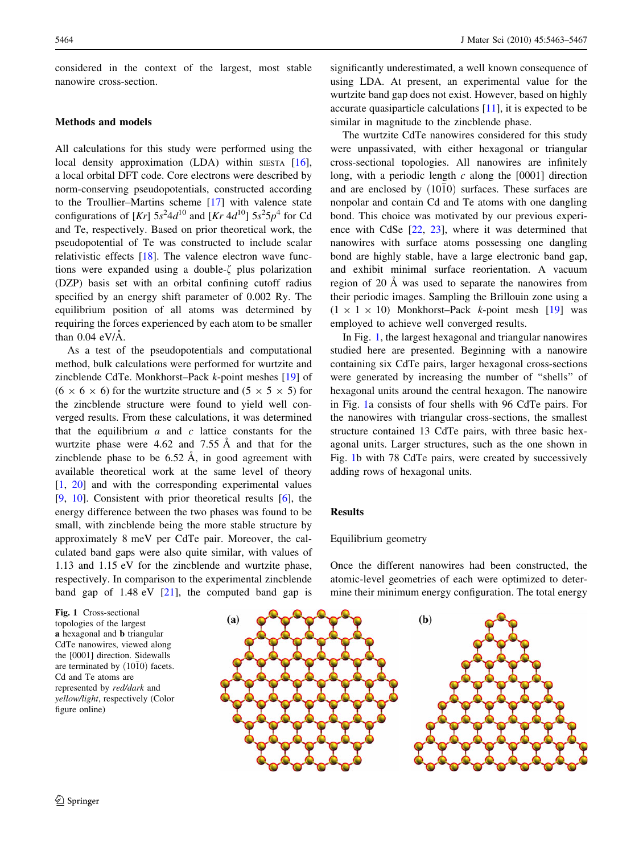<span id="page-1-0"></span>considered in the context of the largest, most stable nanowire cross-section.

## Methods and models

All calculations for this study were performed using the local density approximation (LDA) within SIESTA  $[16]$  $[16]$ , a local orbital DFT code. Core electrons were described by norm-conserving pseudopotentials, constructed according to the Troullier–Martins scheme [[17\]](#page-4-0) with valence state configurations of  $[Kr]$  5s<sup>2</sup>4d<sup>10</sup> and  $[Kr 4d^{10}]$  5s<sup>2</sup>5p<sup>4</sup> for Cd and Te, respectively. Based on prior theoretical work, the pseudopotential of Te was constructed to include scalar relativistic effects [[18\]](#page-4-0). The valence electron wave functions were expanded using a double- $\zeta$  plus polarization (DZP) basis set with an orbital confining cutoff radius specified by an energy shift parameter of 0.002 Ry. The equilibrium position of all atoms was determined by requiring the forces experienced by each atom to be smaller than  $0.04$  eV/ $\AA$ .

As a test of the pseudopotentials and computational method, bulk calculations were performed for wurtzite and zincblende CdTe. Monkhorst–Pack k-point meshes [\[19](#page-4-0)] of  $(6 \times 6 \times 6)$  for the wurtzite structure and  $(5 \times 5 \times 5)$  for the zincblende structure were found to yield well converged results. From these calculations, it was determined that the equilibrium  $a$  and  $c$  lattice constants for the wurtzite phase were  $4.62$  and  $7.55 \text{ Å}$  and that for the zincblende phase to be  $6.52 \text{ Å}$ , in good agreement with available theoretical work at the same level of theory [\[1](#page-4-0), [20\]](#page-4-0) and with the corresponding experimental values [\[9](#page-4-0), [10](#page-4-0)]. Consistent with prior theoretical results [\[6](#page-4-0)], the energy difference between the two phases was found to be small, with zincblende being the more stable structure by approximately 8 meV per CdTe pair. Moreover, the calculated band gaps were also quite similar, with values of 1.13 and 1.15 eV for the zincblende and wurtzite phase, respectively. In comparison to the experimental zincblende band gap of  $1.48 \text{ eV}$  [\[21](#page-4-0)], the computed band gap is



significantly underestimated, a well known consequence of using LDA. At present, an experimental value for the wurtzite band gap does not exist. However, based on highly accurate quasiparticle calculations [\[11](#page-4-0)], it is expected to be similar in magnitude to the zincblende phase.

The wurtzite CdTe nanowires considered for this study were unpassivated, with either hexagonal or triangular cross-sectional topologies. All nanowires are infinitely long, with a periodic length  $c$  along the [0001] direction and are enclosed by  $(10\bar{1}0)$  surfaces. These surfaces are nonpolar and contain Cd and Te atoms with one dangling bond. This choice was motivated by our previous experience with CdSe [[22,](#page-4-0) [23\]](#page-4-0), where it was determined that nanowires with surface atoms possessing one dangling bond are highly stable, have a large electronic band gap, and exhibit minimal surface reorientation. A vacuum region of 20 Å was used to separate the nanowires from their periodic images. Sampling the Brillouin zone using a  $(1 \times 1 \times 10)$  Monkhorst–Pack k-point mesh [[19\]](#page-4-0) was employed to achieve well converged results.

In Fig. 1, the largest hexagonal and triangular nanowires studied here are presented. Beginning with a nanowire containing six CdTe pairs, larger hexagonal cross-sections were generated by increasing the number of ''shells'' of hexagonal units around the central hexagon. The nanowire in Fig. 1a consists of four shells with 96 CdTe pairs. For the nanowires with triangular cross-sections, the smallest structure contained 13 CdTe pairs, with three basic hexagonal units. Larger structures, such as the one shown in Fig. 1b with 78 CdTe pairs, were created by successively adding rows of hexagonal units.

#### **Results**

#### Equilibrium geometry

Once the different nanowires had been constructed, the atomic-level geometries of each were optimized to determine their minimum energy configuration. The total energy

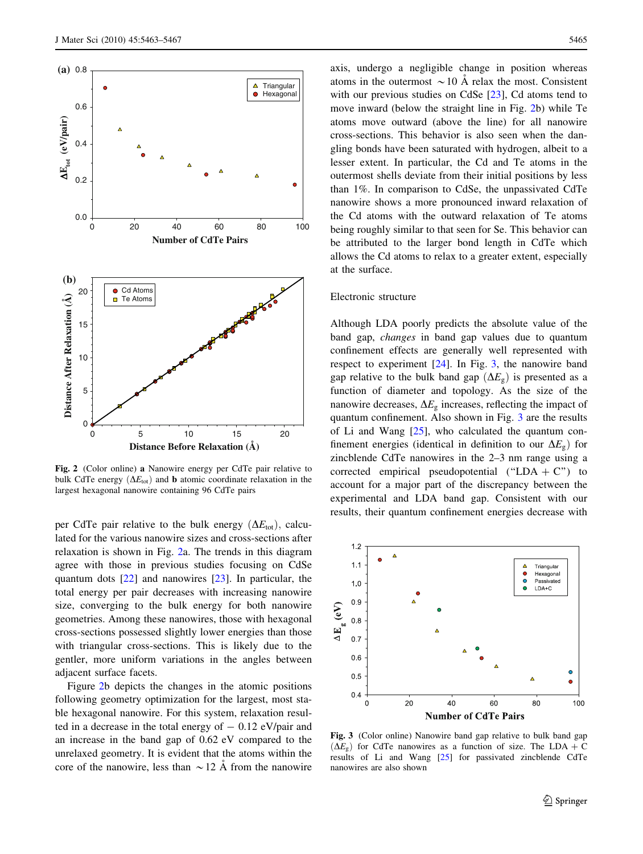<span id="page-2-0"></span>

Fig. 2 (Color online) a Nanowire energy per CdTe pair relative to bulk CdTe energy  $(\Delta E_{\text{tot}})$  and **b** atomic coordinate relaxation in the largest hexagonal nanowire containing 96 CdTe pairs

per CdTe pair relative to the bulk energy  $(\Delta E_{tot})$ , calculated for the various nanowire sizes and cross-sections after relaxation is shown in Fig. 2a. The trends in this diagram agree with those in previous studies focusing on CdSe quantum dots [\[22](#page-4-0)] and nanowires [\[23](#page-4-0)]. In particular, the total energy per pair decreases with increasing nanowire size, converging to the bulk energy for both nanowire geometries. Among these nanowires, those with hexagonal cross-sections possessed slightly lower energies than those with triangular cross-sections. This is likely due to the gentler, more uniform variations in the angles between adjacent surface facets.

Figure 2b depicts the changes in the atomic positions following geometry optimization for the largest, most stable hexagonal nanowire. For this system, relaxation resulted in a decrease in the total energy of  $-0.12$  eV/pair and an increase in the band gap of 0.62 eV compared to the unrelaxed geometry. It is evident that the atoms within the core of the nanowire, less than  $\sim$  12 Å from the nanowire axis, undergo a negligible change in position whereas atoms in the outermost  $\sim$  10 Å relax the most. Consistent with our previous studies on CdSe [\[23](#page-4-0)], Cd atoms tend to move inward (below the straight line in Fig. 2b) while Te atoms move outward (above the line) for all nanowire cross-sections. This behavior is also seen when the dangling bonds have been saturated with hydrogen, albeit to a lesser extent. In particular, the Cd and Te atoms in the outermost shells deviate from their initial positions by less than 1%. In comparison to CdSe, the unpassivated CdTe nanowire shows a more pronounced inward relaxation of the Cd atoms with the outward relaxation of Te atoms being roughly similar to that seen for Se. This behavior can be attributed to the larger bond length in CdTe which allows the Cd atoms to relax to a greater extent, especially at the surface.

### Electronic structure

Although LDA poorly predicts the absolute value of the band gap, changes in band gap values due to quantum confinement effects are generally well represented with respect to experiment [\[24](#page-4-0)]. In Fig. 3, the nanowire band gap relative to the bulk band gap  $(\Delta E_{\rm g})$  is presented as a function of diameter and topology. As the size of the nanowire decreases,  $\Delta E_{g}$  increases, reflecting the impact of quantum confinement. Also shown in Fig. 3 are the results of Li and Wang [[25\]](#page-4-0), who calculated the quantum confinement energies (identical in definition to our  $\Delta E_{g}$ ) for zincblende CdTe nanowires in the 2–3 nm range using a corrected empirical pseudopotential ("LDA + C") to account for a major part of the discrepancy between the experimental and LDA band gap. Consistent with our results, their quantum confinement energies decrease with



Fig. 3 (Color online) Nanowire band gap relative to bulk band gap  $(\Delta E_g)$  for CdTe nanowires as a function of size. The LDA + C results of Li and Wang [\[25\]](#page-4-0) for passivated zincblende CdTe nanowires are also shown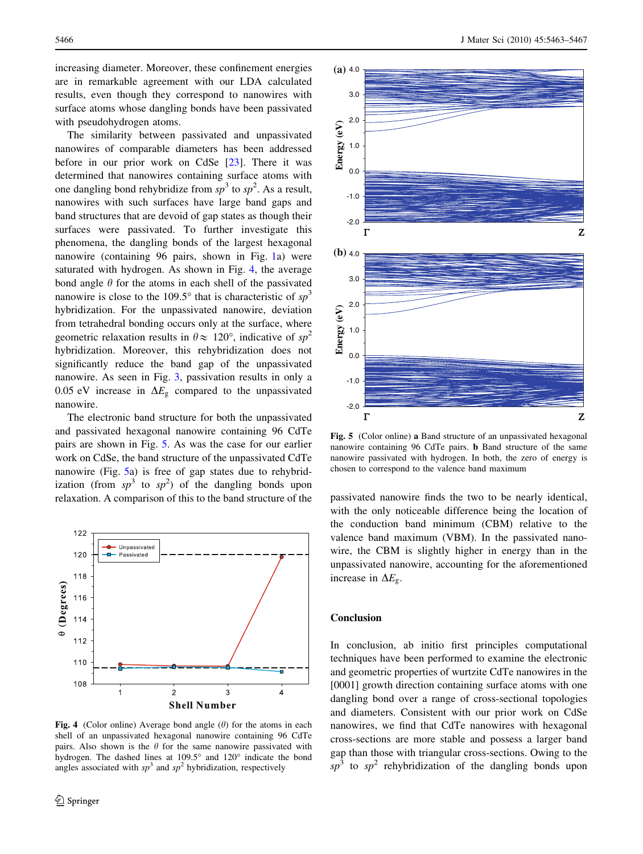increasing diameter. Moreover, these confinement energies are in remarkable agreement with our LDA calculated results, even though they correspond to nanowires with surface atoms whose dangling bonds have been passivated with pseudohydrogen atoms.

The similarity between passivated and unpassivated nanowires of comparable diameters has been addressed before in our prior work on CdSe  $[23]$  $[23]$ . There it was determined that nanowires containing surface atoms with one dangling bond rehybridize from  $sp^3$  to  $sp^2$ . As a result, nanowires with such surfaces have large band gaps and band structures that are devoid of gap states as though their surfaces were passivated. To further investigate this phenomena, the dangling bonds of the largest hexagonal nanowire (containing 96 pairs, shown in Fig. [1](#page-1-0)a) were saturated with hydrogen. As shown in Fig. 4, the average bond angle  $\theta$  for the atoms in each shell of the passivated nanowire is close to the 109.5 $^{\circ}$  that is characteristic of sp<sup>3</sup> hybridization. For the unpassivated nanowire, deviation from tetrahedral bonding occurs only at the surface, where geometric relaxation results in  $\theta \approx 120^{\circ}$ , indicative of sp<sup>2</sup> hybridization. Moreover, this rehybridization does not significantly reduce the band gap of the unpassivated nanowire. As seen in Fig. [3,](#page-2-0) passivation results in only a 0.05 eV increase in  $\Delta E_{\rm g}$  compared to the unpassivated nanowire.

The electronic band structure for both the unpassivated and passivated hexagonal nanowire containing 96 CdTe pairs are shown in Fig. 5. As was the case for our earlier work on CdSe, the band structure of the unpassivated CdTe nanowire (Fig. 5a) is free of gap states due to rehybridization (from  $sp^3$  to  $sp^2$ ) of the dangling bonds upon relaxation. A comparison of this to the band structure of the passivated nanowire finds the two to be nearly identical,



Fig. 4 (Color online) Average bond angle  $(\theta)$  for the atoms in each shell of an unpassivated hexagonal nanowire containing 96 CdTe pairs. Also shown is the  $\theta$  for the same nanowire passivated with hydrogen. The dashed lines at  $109.5^\circ$  and  $120^\circ$  indicate the bond angles associated with  $sp^3$  and  $sp^2$  hybridization, respectively



Fig. 5 (Color online) a Band structure of an unpassivated hexagonal nanowire containing 96 CdTe pairs. b Band structure of the same nanowire passivated with hydrogen. In both, the zero of energy is chosen to correspond to the valence band maximum

with the only noticeable difference being the location of the conduction band minimum (CBM) relative to the valence band maximum (VBM). In the passivated nanowire, the CBM is slightly higher in energy than in the unpassivated nanowire, accounting for the aforementioned increase in  $\Delta E_{\varphi}$ .

## Conclusion

In conclusion, ab initio first principles computational techniques have been performed to examine the electronic and geometric properties of wurtzite CdTe nanowires in the [0001] growth direction containing surface atoms with one dangling bond over a range of cross-sectional topologies and diameters. Consistent with our prior work on CdSe nanowires, we find that CdTe nanowires with hexagonal cross-sections are more stable and possess a larger band gap than those with triangular cross-sections. Owing to the  $sp<sup>3</sup>$  to  $sp<sup>2</sup>$  rehybridization of the dangling bonds upon